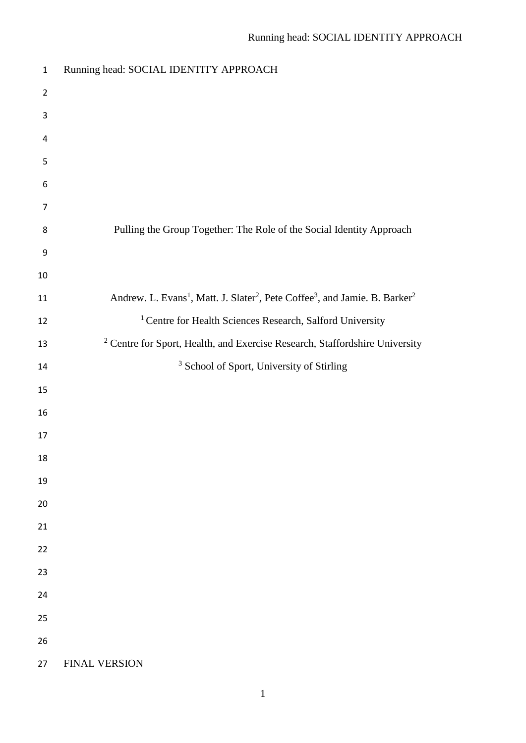| $\mathbf{1}$   | Running head: SOCIAL IDENTITY APPROACH                                                                                      |
|----------------|-----------------------------------------------------------------------------------------------------------------------------|
| $\overline{2}$ |                                                                                                                             |
| 3              |                                                                                                                             |
| $\overline{4}$ |                                                                                                                             |
| 5              |                                                                                                                             |
| 6              |                                                                                                                             |
| $\overline{7}$ |                                                                                                                             |
| 8              | Pulling the Group Together: The Role of the Social Identity Approach                                                        |
| 9              |                                                                                                                             |
| $10\,$         |                                                                                                                             |
| 11             | Andrew. L. Evans <sup>1</sup> , Matt. J. Slater <sup>2</sup> , Pete Coffee <sup>3</sup> , and Jamie. B. Barker <sup>2</sup> |
| 12             | <sup>1</sup> Centre for Health Sciences Research, Salford University                                                        |
| 13             | <sup>2</sup> Centre for Sport, Health, and Exercise Research, Staffordshire University                                      |
| 14             | <sup>3</sup> School of Sport, University of Stirling                                                                        |
| 15             |                                                                                                                             |
| 16             |                                                                                                                             |
| 17             |                                                                                                                             |
| 18             |                                                                                                                             |
| 19             |                                                                                                                             |
| 20             |                                                                                                                             |
| 21             |                                                                                                                             |
| 22             |                                                                                                                             |
| 23             |                                                                                                                             |
| 24             |                                                                                                                             |
| 25             |                                                                                                                             |
| 26             |                                                                                                                             |
| 27             | <b>FINAL VERSION</b>                                                                                                        |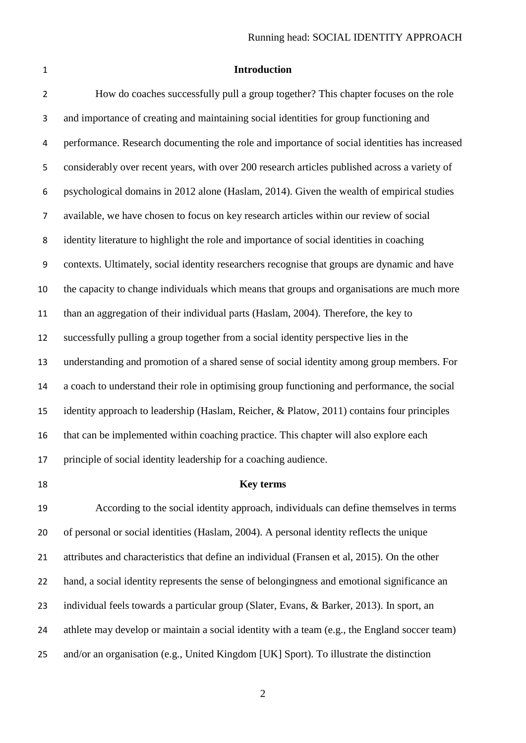## **Introduction**

 How do coaches successfully pull a group together? This chapter focuses on the role and importance of creating and maintaining social identities for group functioning and performance. Research documenting the role and importance of social identities has increased considerably over recent years, with over 200 research articles published across a variety of psychological domains in 2012 alone (Haslam, 2014). Given the wealth of empirical studies available, we have chosen to focus on key research articles within our review of social identity literature to highlight the role and importance of social identities in coaching contexts. Ultimately, social identity researchers recognise that groups are dynamic and have the capacity to change individuals which means that groups and organisations are much more than an aggregation of their individual parts (Haslam, 2004). Therefore, the key to successfully pulling a group together from a social identity perspective lies in the understanding and promotion of a shared sense of social identity among group members. For a coach to understand their role in optimising group functioning and performance, the social identity approach to leadership (Haslam, Reicher, & Platow, 2011) contains four principles that can be implemented within coaching practice. This chapter will also explore each principle of social identity leadership for a coaching audience.

### **Key terms**

 According to the social identity approach, individuals can define themselves in terms of personal or social identities (Haslam, 2004). A personal identity reflects the unique attributes and characteristics that define an individual (Fransen et al, 2015). On the other hand, a social identity represents the sense of belongingness and emotional significance an individual feels towards a particular group (Slater, Evans, & Barker, 2013). In sport, an athlete may develop or maintain a social identity with a team (e.g., the England soccer team) and/or an organisation (e.g., United Kingdom [UK] Sport). To illustrate the distinction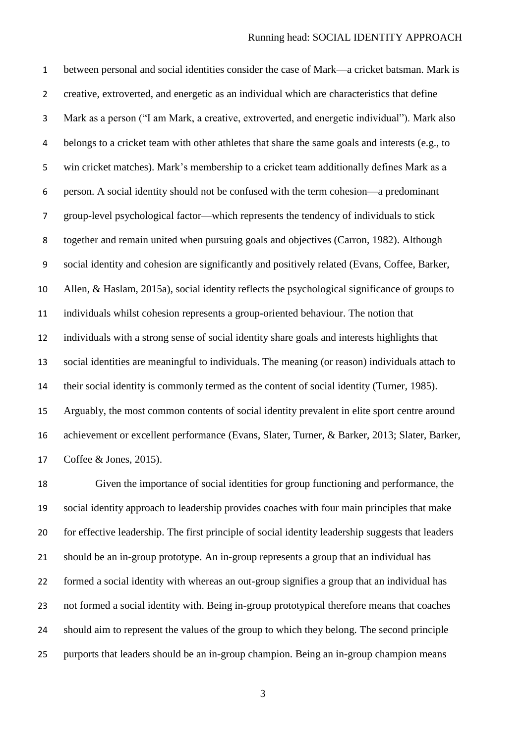between personal and social identities consider the case of Mark—a cricket batsman. Mark is creative, extroverted, and energetic as an individual which are characteristics that define Mark as a person ("I am Mark, a creative, extroverted, and energetic individual"). Mark also belongs to a cricket team with other athletes that share the same goals and interests (e.g., to win cricket matches). Mark's membership to a cricket team additionally defines Mark as a person. A social identity should not be confused with the term cohesion—a predominant group-level psychological factor—which represents the tendency of individuals to stick together and remain united when pursuing goals and objectives (Carron, 1982). Although social identity and cohesion are significantly and positively related (Evans, Coffee, Barker, Allen, & Haslam, 2015a), social identity reflects the psychological significance of groups to individuals whilst cohesion represents a group-oriented behaviour. The notion that individuals with a strong sense of social identity share goals and interests highlights that social identities are meaningful to individuals. The meaning (or reason) individuals attach to their social identity is commonly termed as the content of social identity (Turner, 1985). Arguably, the most common contents of social identity prevalent in elite sport centre around achievement or excellent performance (Evans, Slater, Turner, & Barker, 2013; Slater, Barker, Coffee & Jones, 2015).

 Given the importance of social identities for group functioning and performance, the social identity approach to leadership provides coaches with four main principles that make for effective leadership. The first principle of social identity leadership suggests that leaders should be an in-group prototype. An in-group represents a group that an individual has formed a social identity with whereas an out-group signifies a group that an individual has not formed a social identity with. Being in-group prototypical therefore means that coaches should aim to represent the values of the group to which they belong. The second principle purports that leaders should be an in-group champion. Being an in-group champion means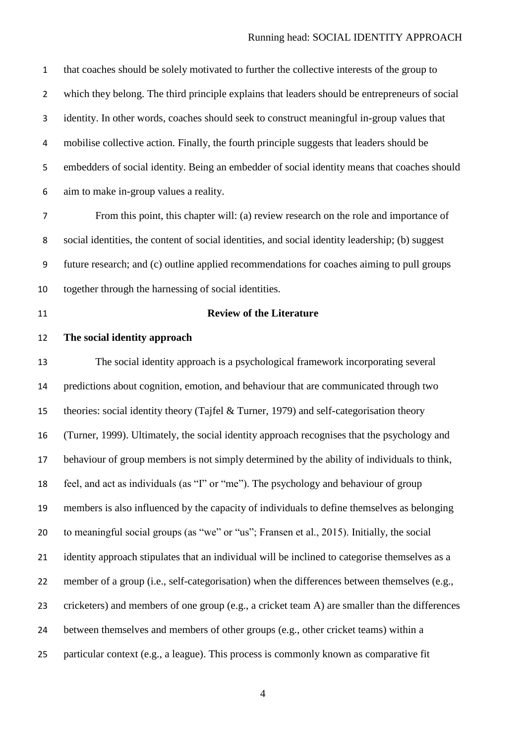that coaches should be solely motivated to further the collective interests of the group to which they belong. The third principle explains that leaders should be entrepreneurs of social identity. In other words, coaches should seek to construct meaningful in-group values that mobilise collective action. Finally, the fourth principle suggests that leaders should be embedders of social identity. Being an embedder of social identity means that coaches should aim to make in-group values a reality.

 From this point, this chapter will: (a) review research on the role and importance of social identities, the content of social identities, and social identity leadership; (b) suggest future research; and (c) outline applied recommendations for coaches aiming to pull groups together through the harnessing of social identities.

## **Review of the Literature**

# **The social identity approach**

 The social identity approach is a psychological framework incorporating several predictions about cognition, emotion, and behaviour that are communicated through two theories: social identity theory (Tajfel & Turner, 1979) and self-categorisation theory (Turner, 1999). Ultimately, the social identity approach recognises that the psychology and behaviour of group members is not simply determined by the ability of individuals to think, feel, and act as individuals (as "I" or "me"). The psychology and behaviour of group members is also influenced by the capacity of individuals to define themselves as belonging to meaningful social groups (as "we" or "us"; Fransen et al., 2015). Initially, the social identity approach stipulates that an individual will be inclined to categorise themselves as a member of a group (i.e., self-categorisation) when the differences between themselves (e.g., cricketers) and members of one group (e.g., a cricket team A) are smaller than the differences between themselves and members of other groups (e.g., other cricket teams) within a particular context (e.g., a league). This process is commonly known as comparative fit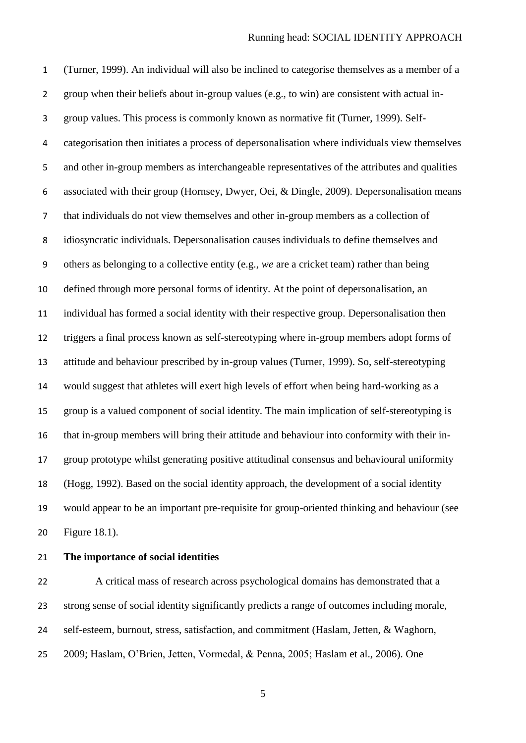(Turner, 1999). An individual will also be inclined to categorise themselves as a member of a group when their beliefs about in-group values (e.g., to win) are consistent with actual in- group values. This process is commonly known as normative fit (Turner, 1999). Self- categorisation then initiates a process of depersonalisation where individuals view themselves and other in-group members as interchangeable representatives of the attributes and qualities associated with their group (Hornsey, Dwyer, Oei, & Dingle, 2009). Depersonalisation means that individuals do not view themselves and other in-group members as a collection of idiosyncratic individuals. Depersonalisation causes individuals to define themselves and others as belonging to a collective entity (e.g., *we* are a cricket team) rather than being defined through more personal forms of identity. At the point of depersonalisation, an individual has formed a social identity with their respective group. Depersonalisation then triggers a final process known as self-stereotyping where in-group members adopt forms of attitude and behaviour prescribed by in-group values (Turner, 1999). So, self-stereotyping would suggest that athletes will exert high levels of effort when being hard-working as a group is a valued component of social identity. The main implication of self-stereotyping is that in-group members will bring their attitude and behaviour into conformity with their in- group prototype whilst generating positive attitudinal consensus and behavioural uniformity (Hogg, 1992). Based on the social identity approach, the development of a social identity would appear to be an important pre-requisite for group-oriented thinking and behaviour (see Figure 18.1).

# **The importance of social identities**

 A critical mass of research across psychological domains has demonstrated that a strong sense of social identity significantly predicts a range of outcomes including morale, self-esteem, burnout, stress, satisfaction, and commitment (Haslam, Jetten, & Waghorn, 2009; Haslam, O'Brien, Jetten, Vormedal, & Penna, 2005; Haslam et al., 2006). One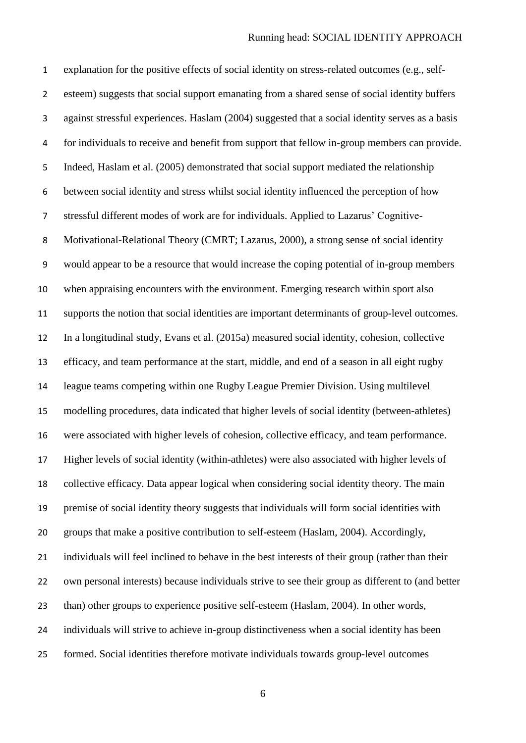explanation for the positive effects of social identity on stress-related outcomes (e.g., self- esteem) suggests that social support emanating from a shared sense of social identity buffers against stressful experiences. Haslam (2004) suggested that a social identity serves as a basis for individuals to receive and benefit from support that fellow in-group members can provide. Indeed, Haslam et al. (2005) demonstrated that social support mediated the relationship between social identity and stress whilst social identity influenced the perception of how stressful different modes of work are for individuals. Applied to Lazarus' Cognitive- Motivational-Relational Theory (CMRT; Lazarus, 2000), a strong sense of social identity would appear to be a resource that would increase the coping potential of in-group members when appraising encounters with the environment. Emerging research within sport also supports the notion that social identities are important determinants of group-level outcomes. In a longitudinal study, Evans et al. (2015a) measured social identity, cohesion, collective efficacy, and team performance at the start, middle, and end of a season in all eight rugby league teams competing within one Rugby League Premier Division. Using multilevel modelling procedures, data indicated that higher levels of social identity (between-athletes) were associated with higher levels of cohesion, collective efficacy, and team performance. Higher levels of social identity (within-athletes) were also associated with higher levels of collective efficacy. Data appear logical when considering social identity theory. The main premise of social identity theory suggests that individuals will form social identities with groups that make a positive contribution to self-esteem (Haslam, 2004). Accordingly, individuals will feel inclined to behave in the best interests of their group (rather than their own personal interests) because individuals strive to see their group as different to (and better than) other groups to experience positive self-esteem (Haslam, 2004). In other words, individuals will strive to achieve in-group distinctiveness when a social identity has been formed. Social identities therefore motivate individuals towards group-level outcomes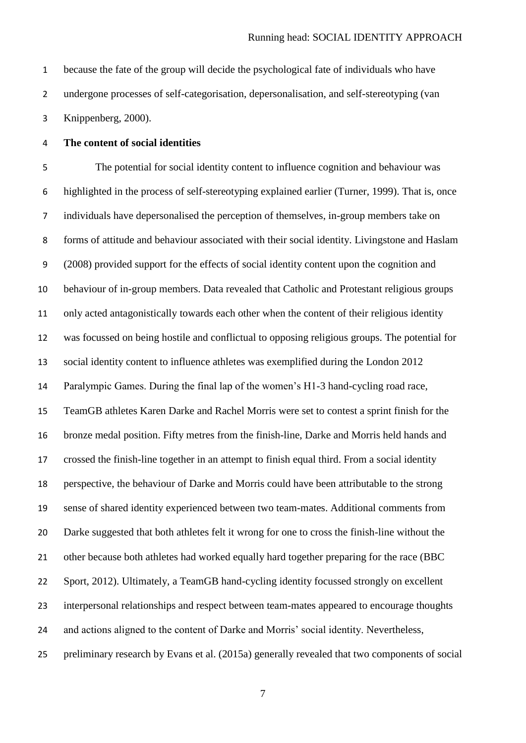because the fate of the group will decide the psychological fate of individuals who have undergone processes of self-categorisation, depersonalisation, and self-stereotyping (van Knippenberg, 2000).

## **The content of social identities**

 The potential for social identity content to influence cognition and behaviour was highlighted in the process of self-stereotyping explained earlier (Turner, 1999). That is, once individuals have depersonalised the perception of themselves, in-group members take on forms of attitude and behaviour associated with their social identity. Livingstone and Haslam (2008) provided support for the effects of social identity content upon the cognition and behaviour of in-group members. Data revealed that Catholic and Protestant religious groups only acted antagonistically towards each other when the content of their religious identity was focussed on being hostile and conflictual to opposing religious groups. The potential for social identity content to influence athletes was exemplified during the London 2012 Paralympic Games. During the final lap of the women's H1-3 hand-cycling road race, TeamGB athletes Karen Darke and Rachel Morris were set to contest a sprint finish for the bronze medal position. Fifty metres from the finish-line, Darke and Morris held hands and crossed the finish-line together in an attempt to finish equal third. From a social identity perspective, the behaviour of Darke and Morris could have been attributable to the strong sense of shared identity experienced between two team-mates. Additional comments from Darke suggested that both athletes felt it wrong for one to cross the finish-line without the 21 other because both athletes had worked equally hard together preparing for the race (BBC Sport, 2012). Ultimately, a TeamGB hand-cycling identity focussed strongly on excellent interpersonal relationships and respect between team-mates appeared to encourage thoughts and actions aligned to the content of Darke and Morris' social identity. Nevertheless, preliminary research by Evans et al. (2015a) generally revealed that two components of social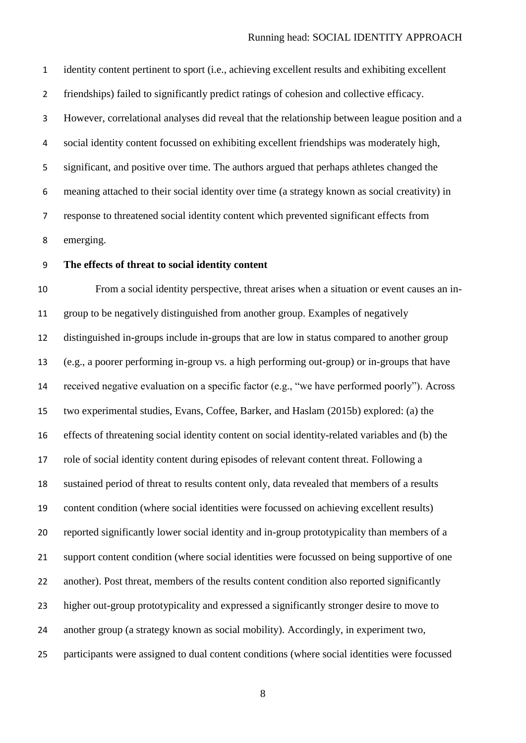identity content pertinent to sport (i.e., achieving excellent results and exhibiting excellent friendships) failed to significantly predict ratings of cohesion and collective efficacy. However, correlational analyses did reveal that the relationship between league position and a social identity content focussed on exhibiting excellent friendships was moderately high, significant, and positive over time. The authors argued that perhaps athletes changed the meaning attached to their social identity over time (a strategy known as social creativity) in response to threatened social identity content which prevented significant effects from emerging.

### **The effects of threat to social identity content**

 From a social identity perspective, threat arises when a situation or event causes an in- group to be negatively distinguished from another group. Examples of negatively distinguished in-groups include in-groups that are low in status compared to another group (e.g., a poorer performing in-group vs. a high performing out-group) or in-groups that have received negative evaluation on a specific factor (e.g., "we have performed poorly"). Across two experimental studies, Evans, Coffee, Barker, and Haslam (2015b) explored: (a) the effects of threatening social identity content on social identity-related variables and (b) the role of social identity content during episodes of relevant content threat. Following a sustained period of threat to results content only, data revealed that members of a results content condition (where social identities were focussed on achieving excellent results) reported significantly lower social identity and in-group prototypicality than members of a support content condition (where social identities were focussed on being supportive of one another). Post threat, members of the results content condition also reported significantly higher out-group prototypicality and expressed a significantly stronger desire to move to another group (a strategy known as social mobility). Accordingly, in experiment two, participants were assigned to dual content conditions (where social identities were focussed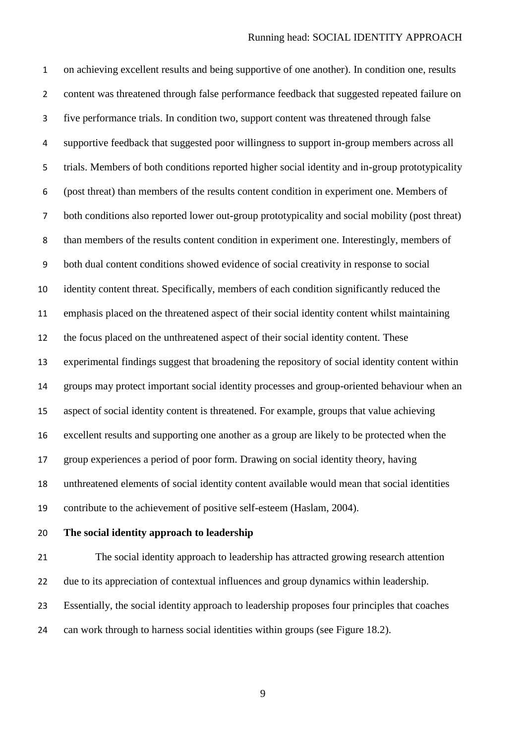on achieving excellent results and being supportive of one another). In condition one, results 2 content was threatened through false performance feedback that suggested repeated failure on five performance trials. In condition two, support content was threatened through false supportive feedback that suggested poor willingness to support in-group members across all trials. Members of both conditions reported higher social identity and in-group prototypicality (post threat) than members of the results content condition in experiment one. Members of both conditions also reported lower out-group prototypicality and social mobility (post threat) than members of the results content condition in experiment one. Interestingly, members of both dual content conditions showed evidence of social creativity in response to social identity content threat. Specifically, members of each condition significantly reduced the emphasis placed on the threatened aspect of their social identity content whilst maintaining the focus placed on the unthreatened aspect of their social identity content. These experimental findings suggest that broadening the repository of social identity content within groups may protect important social identity processes and group-oriented behaviour when an aspect of social identity content is threatened. For example, groups that value achieving excellent results and supporting one another as a group are likely to be protected when the group experiences a period of poor form. Drawing on social identity theory, having unthreatened elements of social identity content available would mean that social identities contribute to the achievement of positive self-esteem (Haslam, 2004).

**The social identity approach to leadership**

 The social identity approach to leadership has attracted growing research attention due to its appreciation of contextual influences and group dynamics within leadership. Essentially, the social identity approach to leadership proposes four principles that coaches can work through to harness social identities within groups (see Figure 18.2).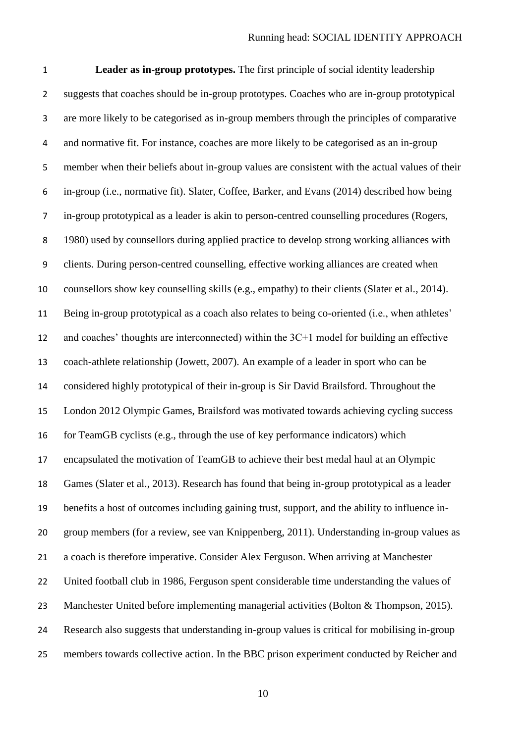**Leader as in-group prototypes.** The first principle of social identity leadership suggests that coaches should be in-group prototypes. Coaches who are in-group prototypical are more likely to be categorised as in-group members through the principles of comparative and normative fit. For instance, coaches are more likely to be categorised as an in-group member when their beliefs about in-group values are consistent with the actual values of their in-group (i.e., normative fit). Slater, Coffee, Barker, and Evans (2014) described how being in-group prototypical as a leader is akin to person-centred counselling procedures (Rogers, 1980) used by counsellors during applied practice to develop strong working alliances with clients. During person-centred counselling, effective working alliances are created when counsellors show key counselling skills (e.g., empathy) to their clients (Slater et al., 2014). Being in-group prototypical as a coach also relates to being co-oriented (i.e., when athletes' and coaches' thoughts are interconnected) within the 3C+1 model for building an effective coach-athlete relationship (Jowett, 2007). An example of a leader in sport who can be considered highly prototypical of their in-group is Sir David Brailsford. Throughout the London 2012 Olympic Games, Brailsford was motivated towards achieving cycling success for TeamGB cyclists (e.g., through the use of key performance indicators) which encapsulated the motivation of TeamGB to achieve their best medal haul at an Olympic Games (Slater et al., 2013). Research has found that being in-group prototypical as a leader benefits a host of outcomes including gaining trust, support, and the ability to influence in- group members (for a review, see van Knippenberg, 2011). Understanding in-group values as a coach is therefore imperative. Consider Alex Ferguson. When arriving at Manchester United football club in 1986, Ferguson spent considerable time understanding the values of 23 Manchester United before implementing managerial activities (Bolton & Thompson, 2015). Research also suggests that understanding in-group values is critical for mobilising in-group members towards collective action. In the BBC prison experiment conducted by Reicher and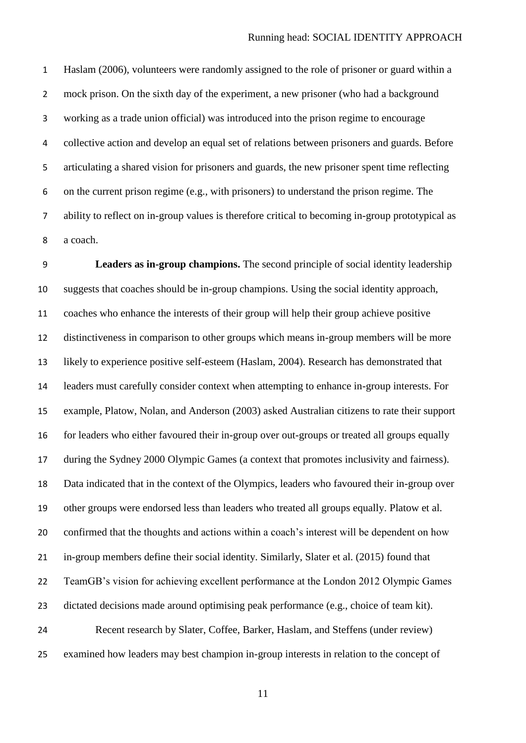Haslam (2006), volunteers were randomly assigned to the role of prisoner or guard within a 2 mock prison. On the sixth day of the experiment, a new prisoner (who had a background working as a trade union official) was introduced into the prison regime to encourage collective action and develop an equal set of relations between prisoners and guards. Before articulating a shared vision for prisoners and guards, the new prisoner spent time reflecting on the current prison regime (e.g., with prisoners) to understand the prison regime. The ability to reflect on in-group values is therefore critical to becoming in-group prototypical as a coach.

 **Leaders as in-group champions.** The second principle of social identity leadership suggests that coaches should be in-group champions. Using the social identity approach, coaches who enhance the interests of their group will help their group achieve positive distinctiveness in comparison to other groups which means in-group members will be more likely to experience positive self-esteem (Haslam, 2004). Research has demonstrated that leaders must carefully consider context when attempting to enhance in-group interests. For example, Platow, Nolan, and Anderson (2003) asked Australian citizens to rate their support for leaders who either favoured their in-group over out-groups or treated all groups equally during the Sydney 2000 Olympic Games (a context that promotes inclusivity and fairness). Data indicated that in the context of the Olympics, leaders who favoured their in-group over other groups were endorsed less than leaders who treated all groups equally. Platow et al. confirmed that the thoughts and actions within a coach's interest will be dependent on how in-group members define their social identity. Similarly, Slater et al. (2015) found that TeamGB's vision for achieving excellent performance at the London 2012 Olympic Games dictated decisions made around optimising peak performance (e.g., choice of team kit). Recent research by Slater, Coffee, Barker, Haslam, and Steffens (under review) examined how leaders may best champion in-group interests in relation to the concept of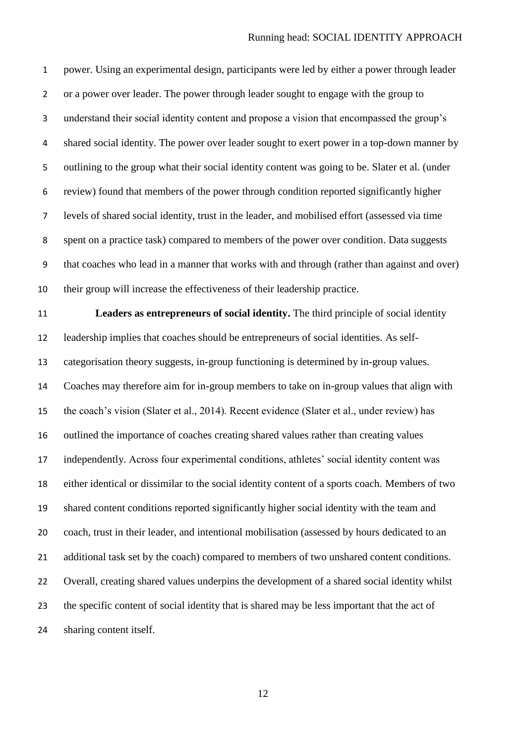power. Using an experimental design, participants were led by either a power through leader or a power over leader. The power through leader sought to engage with the group to understand their social identity content and propose a vision that encompassed the group's shared social identity. The power over leader sought to exert power in a top-down manner by outlining to the group what their social identity content was going to be. Slater et al. (under review) found that members of the power through condition reported significantly higher levels of shared social identity, trust in the leader, and mobilised effort (assessed via time spent on a practice task) compared to members of the power over condition. Data suggests that coaches who lead in a manner that works with and through (rather than against and over) their group will increase the effectiveness of their leadership practice.

 **Leaders as entrepreneurs of social identity.** The third principle of social identity leadership implies that coaches should be entrepreneurs of social identities. As self- categorisation theory suggests, in-group functioning is determined by in-group values. Coaches may therefore aim for in-group members to take on in-group values that align with the coach's vision (Slater et al., 2014). Recent evidence (Slater et al., under review) has outlined the importance of coaches creating shared values rather than creating values independently. Across four experimental conditions, athletes' social identity content was either identical or dissimilar to the social identity content of a sports coach. Members of two shared content conditions reported significantly higher social identity with the team and coach, trust in their leader, and intentional mobilisation (assessed by hours dedicated to an 21 additional task set by the coach) compared to members of two unshared content conditions. Overall, creating shared values underpins the development of a shared social identity whilst the specific content of social identity that is shared may be less important that the act of sharing content itself.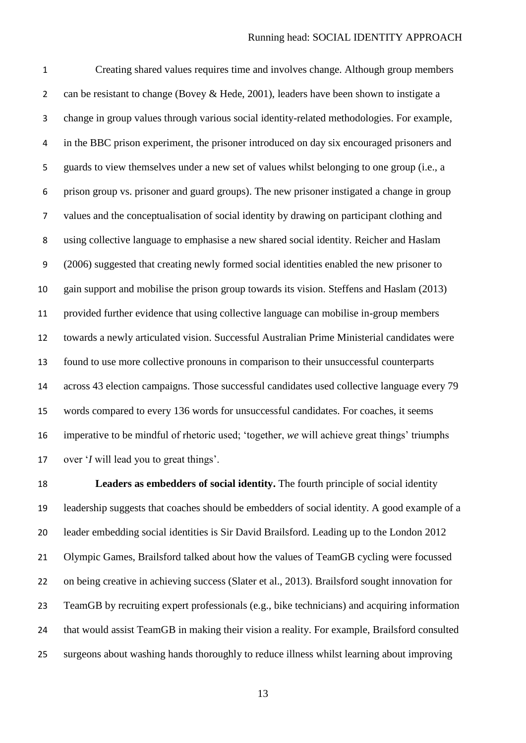Creating shared values requires time and involves change. Although group members 2 can be resistant to change (Bovey & Hede, 2001), leaders have been shown to instigate a change in group values through various social identity-related methodologies. For example, in the BBC prison experiment, the prisoner introduced on day six encouraged prisoners and guards to view themselves under a new set of values whilst belonging to one group (i.e., a prison group vs. prisoner and guard groups). The new prisoner instigated a change in group values and the conceptualisation of social identity by drawing on participant clothing and using collective language to emphasise a new shared social identity. Reicher and Haslam (2006) suggested that creating newly formed social identities enabled the new prisoner to gain support and mobilise the prison group towards its vision. Steffens and Haslam (2013) provided further evidence that using collective language can mobilise in-group members towards a newly articulated vision. Successful Australian Prime Ministerial candidates were found to use more collective pronouns in comparison to their unsuccessful counterparts across 43 election campaigns. Those successful candidates used collective language every 79 words compared to every 136 words for unsuccessful candidates. For coaches, it seems imperative to be mindful of rhetoric used; 'together, *we* will achieve great things' triumphs over '*I* will lead you to great things'.

 **Leaders as embedders of social identity.** The fourth principle of social identity leadership suggests that coaches should be embedders of social identity. A good example of a leader embedding social identities is Sir David Brailsford. Leading up to the London 2012 Olympic Games, Brailsford talked about how the values of TeamGB cycling were focussed on being creative in achieving success (Slater et al., 2013). Brailsford sought innovation for TeamGB by recruiting expert professionals (e.g., bike technicians) and acquiring information that would assist TeamGB in making their vision a reality. For example, Brailsford consulted surgeons about washing hands thoroughly to reduce illness whilst learning about improving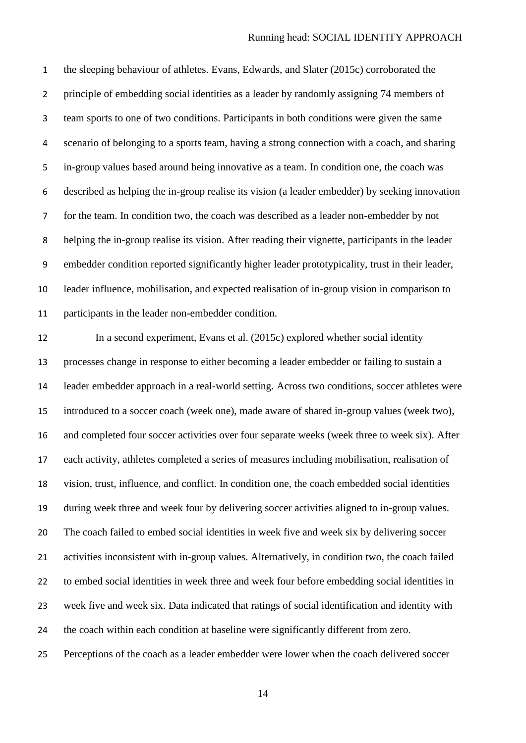the sleeping behaviour of athletes. Evans, Edwards, and Slater (2015c) corroborated the principle of embedding social identities as a leader by randomly assigning 74 members of team sports to one of two conditions. Participants in both conditions were given the same scenario of belonging to a sports team, having a strong connection with a coach, and sharing in-group values based around being innovative as a team. In condition one, the coach was described as helping the in-group realise its vision (a leader embedder) by seeking innovation for the team. In condition two, the coach was described as a leader non-embedder by not helping the in-group realise its vision. After reading their vignette, participants in the leader embedder condition reported significantly higher leader prototypicality, trust in their leader, leader influence, mobilisation, and expected realisation of in-group vision in comparison to participants in the leader non-embedder condition.

 In a second experiment, Evans et al. (2015c) explored whether social identity processes change in response to either becoming a leader embedder or failing to sustain a leader embedder approach in a real-world setting. Across two conditions, soccer athletes were introduced to a soccer coach (week one), made aware of shared in-group values (week two), and completed four soccer activities over four separate weeks (week three to week six). After each activity, athletes completed a series of measures including mobilisation, realisation of vision, trust, influence, and conflict. In condition one, the coach embedded social identities during week three and week four by delivering soccer activities aligned to in-group values. The coach failed to embed social identities in week five and week six by delivering soccer activities inconsistent with in-group values. Alternatively, in condition two, the coach failed to embed social identities in week three and week four before embedding social identities in week five and week six. Data indicated that ratings of social identification and identity with the coach within each condition at baseline were significantly different from zero. Perceptions of the coach as a leader embedder were lower when the coach delivered soccer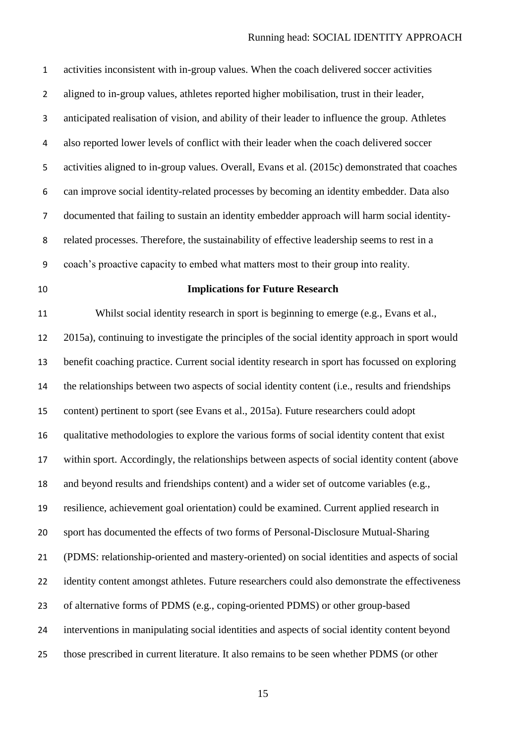| $\mathbf 1$    | activities inconsistent with in-group values. When the coach delivered soccer activities        |
|----------------|-------------------------------------------------------------------------------------------------|
| $\overline{2}$ | aligned to in-group values, athletes reported higher mobilisation, trust in their leader,       |
| 3              | anticipated realisation of vision, and ability of their leader to influence the group. Athletes |
| 4              | also reported lower levels of conflict with their leader when the coach delivered soccer        |
| 5              | activities aligned to in-group values. Overall, Evans et al. (2015c) demonstrated that coaches  |
| 6              | can improve social identity-related processes by becoming an identity embedder. Data also       |
| $\overline{7}$ | documented that failing to sustain an identity embedder approach will harm social identity-     |
| 8              | related processes. Therefore, the sustainability of effective leadership seems to rest in a     |
| 9              | coach's proactive capacity to embed what matters most to their group into reality.              |
| 10             | <b>Implications for Future Research</b>                                                         |
| 11             | Whilst social identity research in sport is beginning to emerge (e.g., Evans et al.,            |
| 12             | 2015a), continuing to investigate the principles of the social identity approach in sport would |
| 13             | benefit coaching practice. Current social identity research in sport has focussed on exploring  |
| 14             | the relationships between two aspects of social identity content (i.e., results and friendships |
| 15             | content) pertinent to sport (see Evans et al., 2015a). Future researchers could adopt           |
| 16             | qualitative methodologies to explore the various forms of social identity content that exist    |
| 17             | within sport. Accordingly, the relationships between aspects of social identity content (above  |
| 18             | and beyond results and friendships content) and a wider set of outcome variables (e.g.,         |
| 19             | resilience, achievement goal orientation) could be examined. Current applied research in        |
| 20             | sport has documented the effects of two forms of Personal-Disclosure Mutual-Sharing             |
| 21             | (PDMS: relationship-oriented and mastery-oriented) on social identities and aspects of social   |
| 22             | identity content amongst athletes. Future researchers could also demonstrate the effectiveness  |
| 23             | of alternative forms of PDMS (e.g., coping-oriented PDMS) or other group-based                  |
| 24             | interventions in manipulating social identities and aspects of social identity content beyond   |
| 25             | those prescribed in current literature. It also remains to be seen whether PDMS (or other       |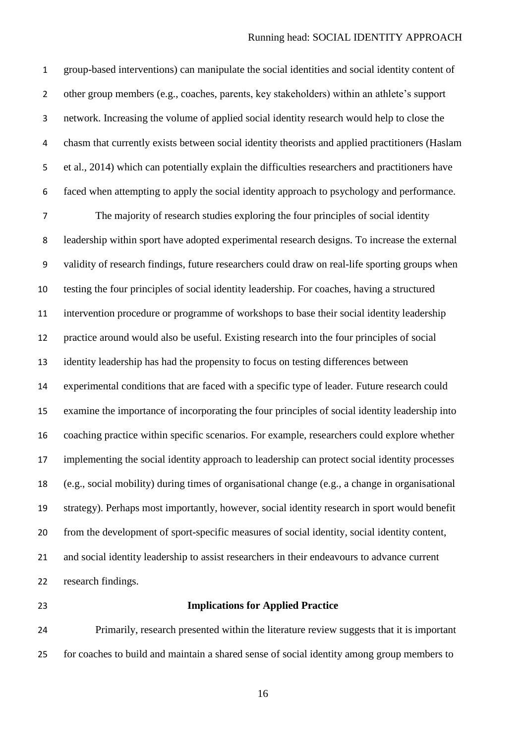group-based interventions) can manipulate the social identities and social identity content of other group members (e.g., coaches, parents, key stakeholders) within an athlete's support network. Increasing the volume of applied social identity research would help to close the chasm that currently exists between social identity theorists and applied practitioners (Haslam et al., 2014) which can potentially explain the difficulties researchers and practitioners have faced when attempting to apply the social identity approach to psychology and performance.

 The majority of research studies exploring the four principles of social identity leadership within sport have adopted experimental research designs. To increase the external validity of research findings, future researchers could draw on real-life sporting groups when testing the four principles of social identity leadership. For coaches, having a structured intervention procedure or programme of workshops to base their social identity leadership practice around would also be useful. Existing research into the four principles of social identity leadership has had the propensity to focus on testing differences between experimental conditions that are faced with a specific type of leader. Future research could examine the importance of incorporating the four principles of social identity leadership into coaching practice within specific scenarios. For example, researchers could explore whether implementing the social identity approach to leadership can protect social identity processes (e.g., social mobility) during times of organisational change (e.g., a change in organisational strategy). Perhaps most importantly, however, social identity research in sport would benefit from the development of sport-specific measures of social identity, social identity content, 21 and social identity leadership to assist researchers in their endeavours to advance current research findings.

### **Implications for Applied Practice**

 Primarily, research presented within the literature review suggests that it is important for coaches to build and maintain a shared sense of social identity among group members to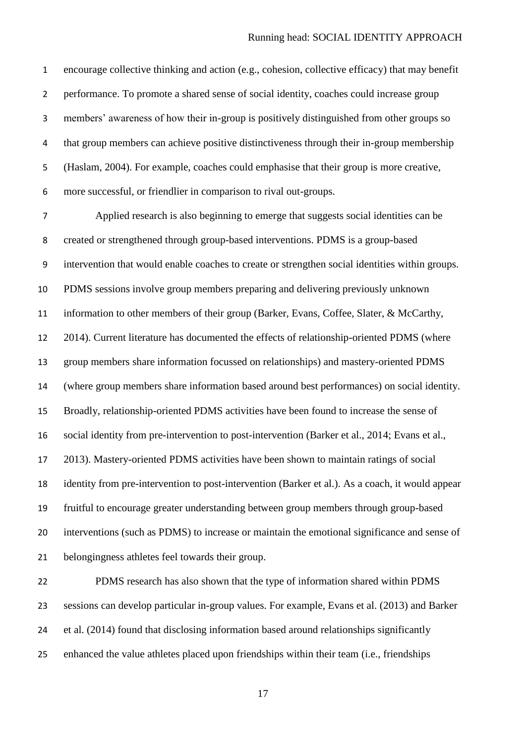encourage collective thinking and action (e.g., cohesion, collective efficacy) that may benefit performance. To promote a shared sense of social identity, coaches could increase group members' awareness of how their in-group is positively distinguished from other groups so that group members can achieve positive distinctiveness through their in-group membership (Haslam, 2004). For example, coaches could emphasise that their group is more creative, more successful, or friendlier in comparison to rival out-groups.

 Applied research is also beginning to emerge that suggests social identities can be created or strengthened through group-based interventions. PDMS is a group-based intervention that would enable coaches to create or strengthen social identities within groups. PDMS sessions involve group members preparing and delivering previously unknown information to other members of their group (Barker, Evans, Coffee, Slater, & McCarthy, 2014). Current literature has documented the effects of relationship-oriented PDMS (where group members share information focussed on relationships) and mastery-oriented PDMS (where group members share information based around best performances) on social identity. Broadly, relationship-oriented PDMS activities have been found to increase the sense of social identity from pre-intervention to post-intervention (Barker et al., 2014; Evans et al., 2013). Mastery-oriented PDMS activities have been shown to maintain ratings of social identity from pre-intervention to post-intervention (Barker et al.). As a coach, it would appear fruitful to encourage greater understanding between group members through group-based interventions (such as PDMS) to increase or maintain the emotional significance and sense of belongingness athletes feel towards their group.

 PDMS research has also shown that the type of information shared within PDMS sessions can develop particular in-group values. For example, Evans et al. (2013) and Barker et al. (2014) found that disclosing information based around relationships significantly enhanced the value athletes placed upon friendships within their team (i.e., friendships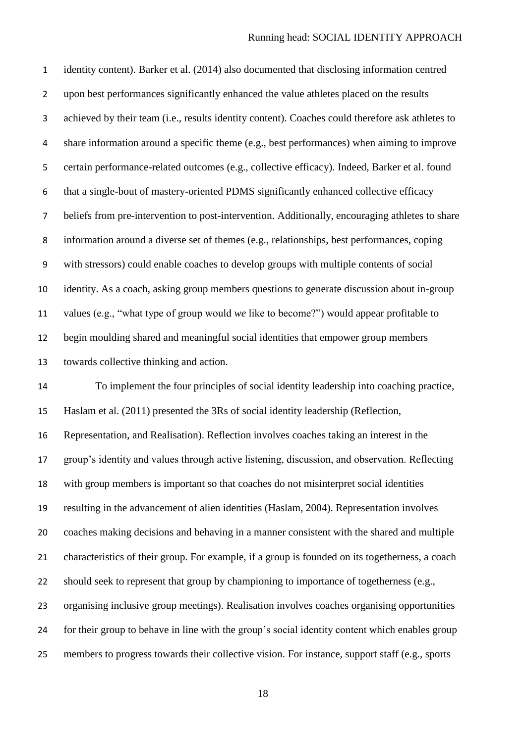identity content). Barker et al. (2014) also documented that disclosing information centred upon best performances significantly enhanced the value athletes placed on the results achieved by their team (i.e., results identity content). Coaches could therefore ask athletes to share information around a specific theme (e.g., best performances) when aiming to improve certain performance-related outcomes (e.g., collective efficacy). Indeed, Barker et al. found that a single-bout of mastery-oriented PDMS significantly enhanced collective efficacy beliefs from pre-intervention to post-intervention. Additionally, encouraging athletes to share information around a diverse set of themes (e.g., relationships, best performances, coping with stressors) could enable coaches to develop groups with multiple contents of social identity. As a coach, asking group members questions to generate discussion about in-group values (e.g., "what type of group would *we* like to become?") would appear profitable to begin moulding shared and meaningful social identities that empower group members towards collective thinking and action.

 To implement the four principles of social identity leadership into coaching practice, Haslam et al. (2011) presented the 3Rs of social identity leadership (Reflection, Representation, and Realisation). Reflection involves coaches taking an interest in the group's identity and values through active listening, discussion, and observation. Reflecting with group members is important so that coaches do not misinterpret social identities resulting in the advancement of alien identities (Haslam, 2004). Representation involves coaches making decisions and behaving in a manner consistent with the shared and multiple characteristics of their group. For example, if a group is founded on its togetherness, a coach should seek to represent that group by championing to importance of togetherness (e.g., organising inclusive group meetings). Realisation involves coaches organising opportunities for their group to behave in line with the group's social identity content which enables group members to progress towards their collective vision. For instance, support staff (e.g., sports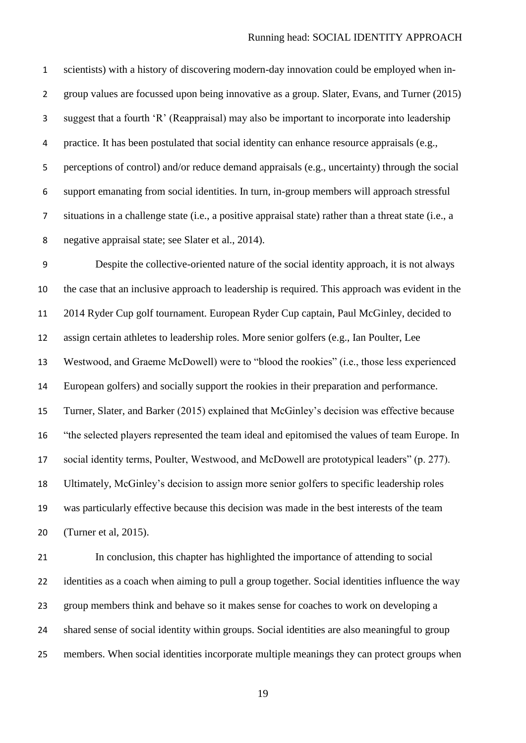scientists) with a history of discovering modern-day innovation could be employed when in- group values are focussed upon being innovative as a group. Slater, Evans, and Turner (2015) suggest that a fourth 'R' (Reappraisal) may also be important to incorporate into leadership practice. It has been postulated that social identity can enhance resource appraisals (e.g., perceptions of control) and/or reduce demand appraisals (e.g., uncertainty) through the social support emanating from social identities. In turn, in-group members will approach stressful situations in a challenge state (i.e., a positive appraisal state) rather than a threat state (i.e., a negative appraisal state; see Slater et al., 2014).

 Despite the collective-oriented nature of the social identity approach, it is not always the case that an inclusive approach to leadership is required. This approach was evident in the 2014 Ryder Cup golf tournament. European Ryder Cup captain, Paul McGinley, decided to assign certain athletes to leadership roles. More senior golfers (e.g., Ian Poulter, Lee Westwood, and Graeme McDowell) were to "blood the rookies" (i.e., those less experienced European golfers) and socially support the rookies in their preparation and performance. Turner, Slater, and Barker (2015) explained that McGinley's decision was effective because "the selected players represented the team ideal and epitomised the values of team Europe. In social identity terms, Poulter, Westwood, and McDowell are prototypical leaders" (p. 277). Ultimately, McGinley's decision to assign more senior golfers to specific leadership roles was particularly effective because this decision was made in the best interests of the team (Turner et al, 2015).

 In conclusion, this chapter has highlighted the importance of attending to social 22 identities as a coach when aiming to pull a group together. Social identities influence the way group members think and behave so it makes sense for coaches to work on developing a shared sense of social identity within groups. Social identities are also meaningful to group members. When social identities incorporate multiple meanings they can protect groups when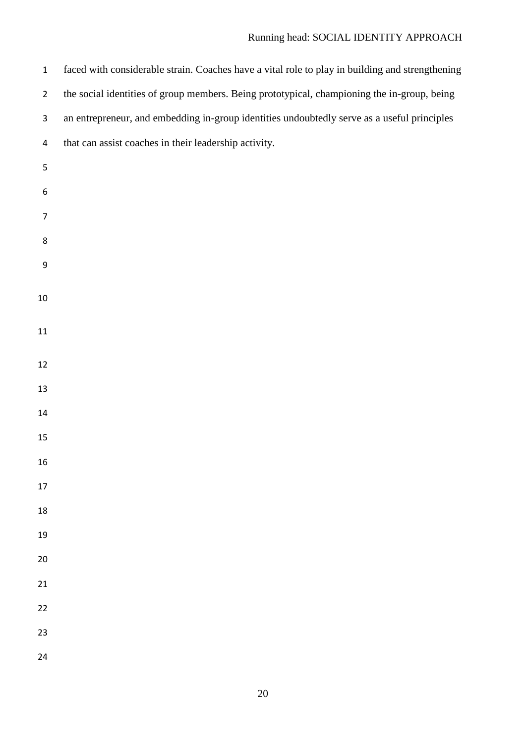| $\mathbf 1$      | faced with considerable strain. Coaches have a vital role to play in building and strengthening |
|------------------|-------------------------------------------------------------------------------------------------|
| $\overline{2}$   | the social identities of group members. Being prototypical, championing the in-group, being     |
| $\mathbf{3}$     | an entrepreneur, and embedding in-group identities undoubtedly serve as a useful principles     |
| 4                | that can assist coaches in their leadership activity.                                           |
| 5                |                                                                                                 |
| $\boldsymbol{6}$ |                                                                                                 |
| $\overline{7}$   |                                                                                                 |
| $\bf 8$          |                                                                                                 |
| $\boldsymbol{9}$ |                                                                                                 |
| 10               |                                                                                                 |
|                  |                                                                                                 |
| 11               |                                                                                                 |
| 12               |                                                                                                 |
| 13               |                                                                                                 |
| 14               |                                                                                                 |
| 15               |                                                                                                 |
| 16               |                                                                                                 |
| 17               |                                                                                                 |
| 18               |                                                                                                 |
| 19               |                                                                                                 |
| 20               |                                                                                                 |
| 21               |                                                                                                 |
| 22               |                                                                                                 |
| 23               |                                                                                                 |
| 24               |                                                                                                 |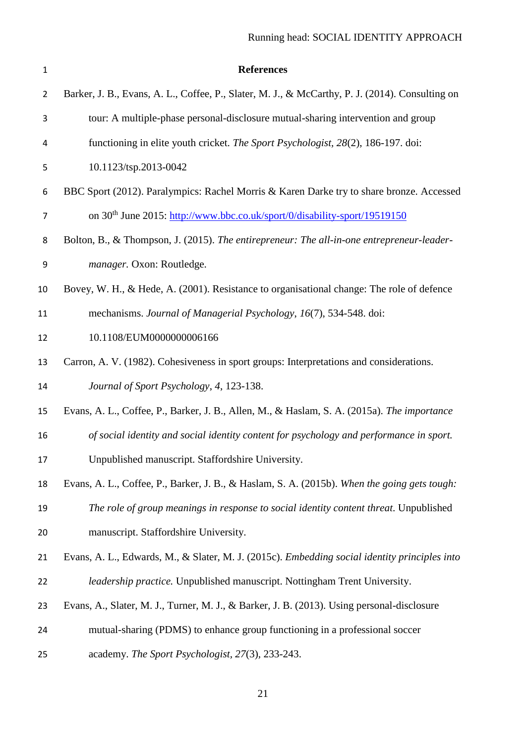| $\mathbf{1}$   | <b>References</b>                                                                               |
|----------------|-------------------------------------------------------------------------------------------------|
| $\overline{2}$ | Barker, J. B., Evans, A. L., Coffee, P., Slater, M. J., & McCarthy, P. J. (2014). Consulting on |
| 3              | tour: A multiple-phase personal-disclosure mutual-sharing intervention and group                |
| 4              | functioning in elite youth cricket. The Sport Psychologist, 28(2), 186-197. doi:                |
| 5              | 10.1123/tsp.2013-0042                                                                           |
| 6              | BBC Sport (2012). Paralympics: Rachel Morris & Karen Darke try to share bronze. Accessed        |
| $\overline{7}$ | on 30 <sup>th</sup> June 2015: http://www.bbc.co.uk/sport/0/disability-sport/19519150           |
| 8              | Bolton, B., & Thompson, J. (2015). The entirepreneur: The all-in-one entrepreneur-leader-       |
| 9              | manager. Oxon: Routledge.                                                                       |
| 10             | Bovey, W. H., & Hede, A. (2001). Resistance to organisational change: The role of defence       |
| 11             | mechanisms. Journal of Managerial Psychology, 16(7), 534-548. doi:                              |
| 12             | 10.1108/EUM0000000006166                                                                        |
| 13             | Carron, A. V. (1982). Cohesiveness in sport groups: Interpretations and considerations.         |
| 14             | Journal of Sport Psychology, 4, 123-138.                                                        |
| 15             | Evans, A. L., Coffee, P., Barker, J. B., Allen, M., & Haslam, S. A. (2015a). The importance     |
| 16             | of social identity and social identity content for psychology and performance in sport.         |
| 17             | Unpublished manuscript. Staffordshire University.                                               |
| 18             | Evans, A. L., Coffee, P., Barker, J. B., & Haslam, S. A. (2015b). When the going gets tough:    |
| 19             | The role of group meanings in response to social identity content threat. Unpublished           |
| 20             | manuscript. Staffordshire University.                                                           |
| 21             | Evans, A. L., Edwards, M., & Slater, M. J. (2015c). Embedding social identity principles into   |
| 22             | leadership practice. Unpublished manuscript. Nottingham Trent University.                       |
| 23             | Evans, A., Slater, M. J., Turner, M. J., & Barker, J. B. (2013). Using personal-disclosure      |
| 24             | mutual-sharing (PDMS) to enhance group functioning in a professional soccer                     |
| 25             | academy. The Sport Psychologist, 27(3), 233-243.                                                |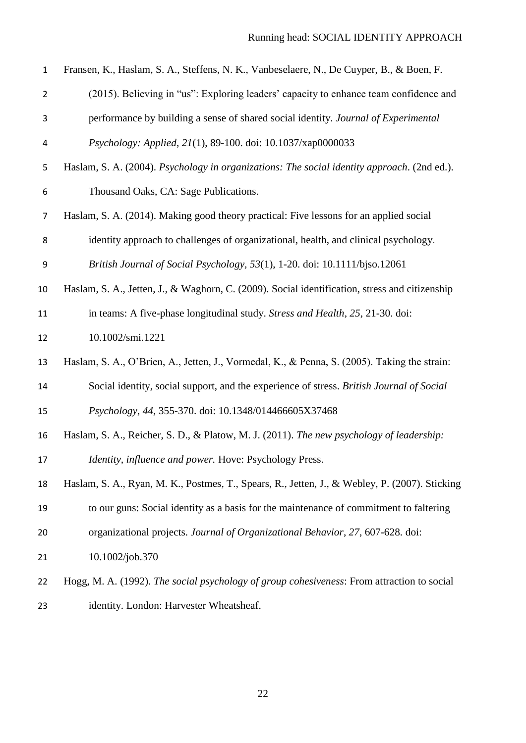| $\mathbf 1$    | Fransen, K., Haslam, S. A., Steffens, N. K., Vanbeselaere, N., De Cuyper, B., & Boen, F.       |
|----------------|------------------------------------------------------------------------------------------------|
| $\overline{2}$ | (2015). Believing in "us": Exploring leaders' capacity to enhance team confidence and          |
| 3              | performance by building a sense of shared social identity. Journal of Experimental             |
| 4              | Psychology: Applied, 21(1), 89-100. doi: 10.1037/xap0000033                                    |
| 5              | Haslam, S. A. (2004). Psychology in organizations: The social identity approach. (2nd ed.).    |
| 6              | Thousand Oaks, CA: Sage Publications.                                                          |
| $\overline{7}$ | Haslam, S. A. (2014). Making good theory practical: Five lessons for an applied social         |
| 8              | identity approach to challenges of organizational, health, and clinical psychology.            |
| 9              | British Journal of Social Psychology, 53(1), 1-20. doi: 10.1111/bjso.12061                     |
| 10             | Haslam, S. A., Jetten, J., & Waghorn, C. (2009). Social identification, stress and citizenship |
| 11             | in teams: A five-phase longitudinal study. Stress and Health, 25, 21-30. doi:                  |
| 12             | 10.1002/smi.1221                                                                               |
| 13             | Haslam, S. A., O'Brien, A., Jetten, J., Vormedal, K., & Penna, S. (2005). Taking the strain:   |
| 14             | Social identity, social support, and the experience of stress. British Journal of Social       |
| 15             | Psychology, 44, 355-370. doi: 10.1348/014466605X37468                                          |
| 16             | Haslam, S. A., Reicher, S. D., & Platow, M. J. (2011). The new psychology of leadership:       |
| 17             | Identity, influence and power. Hove: Psychology Press.                                         |
| 18             | Haslam, S. A., Ryan, M. K., Postmes, T., Spears, R., Jetten, J., & Webley, P. (2007). Sticking |
| 19             | to our guns: Social identity as a basis for the maintenance of commitment to faltering         |
| 20             | organizational projects. Journal of Organizational Behavior, 27, 607-628. doi:                 |
| 21             | 10.1002/job.370                                                                                |
| 22             | Hogg, M. A. (1992). The social psychology of group cohesiveness: From attraction to social     |
| 23             | identity. London: Harvester Wheatsheaf.                                                        |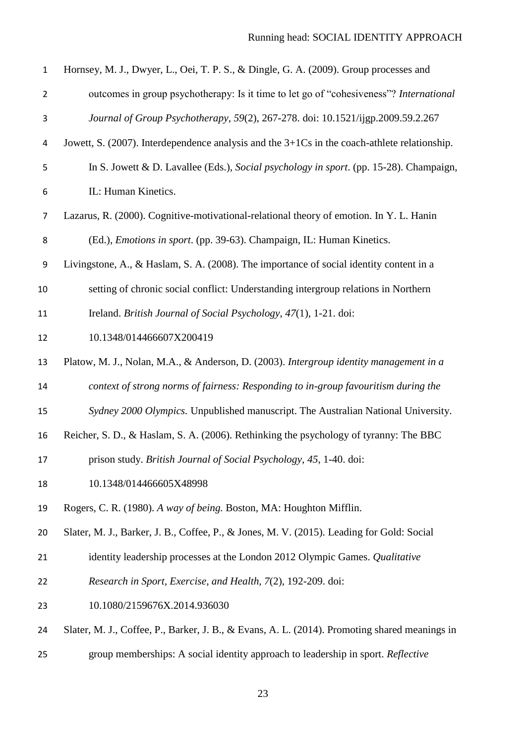| $\mathbf{1}$   | Hornsey, M. J., Dwyer, L., Oei, T. P. S., & Dingle, G. A. (2009). Group processes and             |
|----------------|---------------------------------------------------------------------------------------------------|
| $\overline{2}$ | outcomes in group psychotherapy: Is it time to let go of "cohesiveness"? International            |
| 3              | Journal of Group Psychotherapy, 59(2), 267-278. doi: 10.1521/ijgp.2009.59.2.267                   |
| 4              | Jowett, S. $(2007)$ . Interdependence analysis and the $3+1Cs$ in the coach-athlete relationship. |
| 5              | In S. Jowett & D. Lavallee (Eds.), Social psychology in sport. (pp. 15-28). Champaign,            |
| 6              | IL: Human Kinetics.                                                                               |
| 7              | Lazarus, R. (2000). Cognitive-motivational-relational theory of emotion. In Y. L. Hanin           |
| 8              | (Ed.), Emotions in sport. (pp. 39-63). Champaign, IL: Human Kinetics.                             |
| 9              | Livingstone, A., & Haslam, S. A. (2008). The importance of social identity content in a           |
| 10             | setting of chronic social conflict: Understanding intergroup relations in Northern                |
| 11             | Ireland. British Journal of Social Psychology, 47(1), 1-21. doi:                                  |
| 12             | 10.1348/014466607X200419                                                                          |
| 13             | Platow, M. J., Nolan, M.A., & Anderson, D. (2003). Intergroup identity management in a            |
| 14             | context of strong norms of fairness: Responding to in-group favouritism during the                |
| 15             | Sydney 2000 Olympics. Unpublished manuscript. The Australian National University.                 |
| 16             | Reicher, S. D., & Haslam, S. A. (2006). Rethinking the psychology of tyranny: The BBC             |
| 17             | prison study. British Journal of Social Psychology, 45, 1-40. doi:                                |
| 18             | 10.1348/014466605X48998                                                                           |
| 19             | Rogers, C. R. (1980). A way of being. Boston, MA: Houghton Mifflin.                               |
| 20             | Slater, M. J., Barker, J. B., Coffee, P., & Jones, M. V. (2015). Leading for Gold: Social         |
| 21             | identity leadership processes at the London 2012 Olympic Games. Qualitative                       |
| 22             | Research in Sport, Exercise, and Health, 7(2), 192-209. doi:                                      |
| 23             | 10.1080/2159676X.2014.936030                                                                      |
| 24             | Slater, M. J., Coffee, P., Barker, J. B., & Evans, A. L. (2014). Promoting shared meanings in     |
| 25             | group memberships: A social identity approach to leadership in sport. Reflective                  |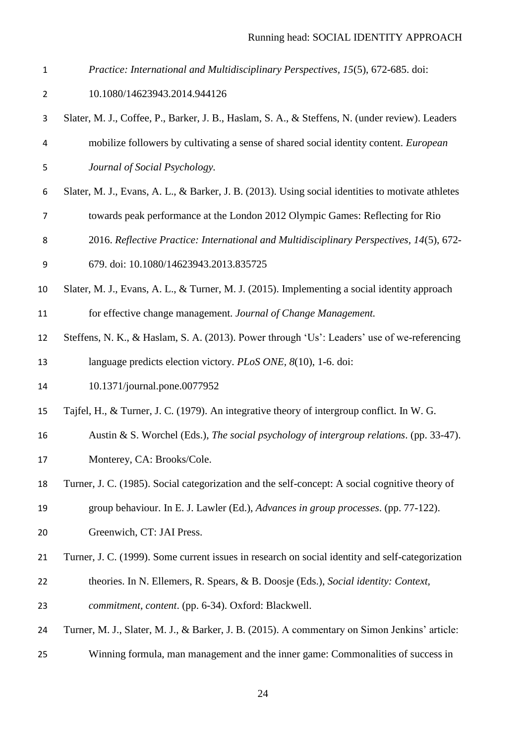- *Practice: International and Multidisciplinary Perspectives, 15*(5), 672-685. doi:
- 10.1080/14623943.2014.944126
- Slater, M. J., Coffee, P., Barker, J. B., Haslam, S. A., & Steffens, N. (under review). Leaders mobilize followers by cultivating a sense of shared social identity content. *European Journal of Social Psychology.*
- Slater, M. J., Evans, A. L., & Barker, J. B. (2013). Using social identities to motivate athletes towards peak performance at the London 2012 Olympic Games: Reflecting for Rio
- 2016. *Reflective Practice: International and Multidisciplinary Perspectives, 14*(5), 672-
- 679. doi: 10.1080/14623943.2013.835725
- Slater, M. J., Evans, A. L., & Turner, M. J. (2015). Implementing a social identity approach for effective change management. *Journal of Change Management.*
- Steffens, N. K., & Haslam, S. A. (2013). Power through 'Us': Leaders' use of we-referencing language predicts election victory. *PLoS ONE, 8*(10), 1-6. doi:
- 10.1371/journal.pone.0077952
- Tajfel, H., & Turner, J. C. (1979). An integrative theory of intergroup conflict. In W. G.
- Austin & S. Worchel (Eds.), *The social psychology of intergroup relations*. (pp. 33-47).
- Monterey, CA: Brooks/Cole.
- Turner, J. C. (1985). Social categorization and the self-concept: A social cognitive theory of
- group behaviour. In E. J. Lawler (Ed.), *Advances in group processes*. (pp. 77-122).
- Greenwich, CT: JAI Press.
- Turner, J. C. (1999). Some current issues in research on social identity and self-categorization
- theories. In N. Ellemers, R. Spears, & B. Doosje (Eds.), *Social identity: Context,*
- *commitment, content*. (pp. 6-34). Oxford: Blackwell.
- Turner, M. J., Slater, M. J., & Barker, J. B. (2015). A commentary on Simon Jenkins' article:
- Winning formula, man management and the inner game: Commonalities of success in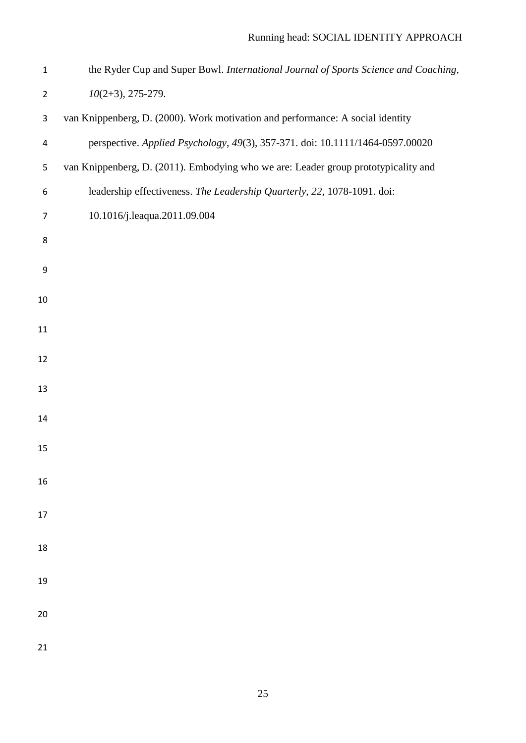| $\mathbf{1}$   | the Ryder Cup and Super Bowl. International Journal of Sports Science and Coaching, |
|----------------|-------------------------------------------------------------------------------------|
| $\overline{2}$ | $10(2+3), 275-279.$                                                                 |
| 3              | van Knippenberg, D. (2000). Work motivation and performance: A social identity      |
| 4              | perspective. Applied Psychology, 49(3), 357-371. doi: 10.1111/1464-0597.00020       |
| 5              | van Knippenberg, D. (2011). Embodying who we are: Leader group prototypicality and  |
| 6              | leadership effectiveness. The Leadership Quarterly, 22, 1078-1091. doi:             |
| $\overline{7}$ | 10.1016/j.leaqua.2011.09.004                                                        |
| 8              |                                                                                     |
| 9              |                                                                                     |
| 10             |                                                                                     |
| 11             |                                                                                     |
|                |                                                                                     |
| 12             |                                                                                     |
| 13             |                                                                                     |
| 14             |                                                                                     |
| 15             |                                                                                     |
| 16             |                                                                                     |
|                |                                                                                     |
| 17             |                                                                                     |
| 18             |                                                                                     |
| 19             |                                                                                     |
|                |                                                                                     |
| 20             |                                                                                     |
| 21             |                                                                                     |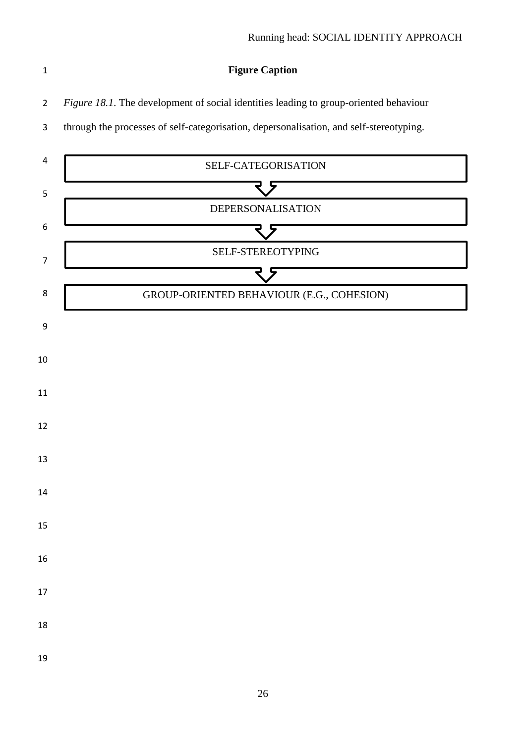**Figure Caption**

*Figure 18.1*. The development of social identities leading to group-oriented behaviour

through the processes of self-categorisation, depersonalisation, and self-stereotyping.